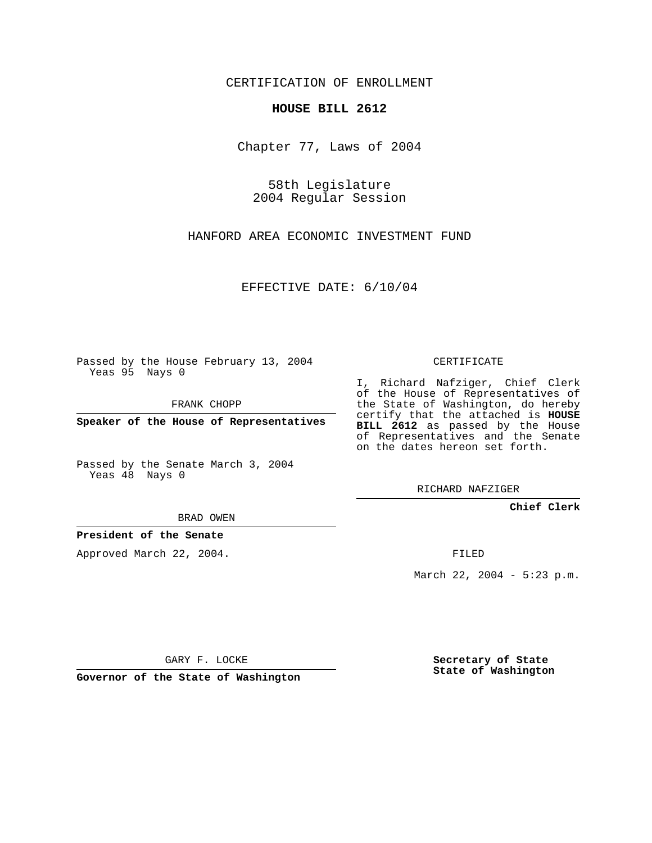CERTIFICATION OF ENROLLMENT

## **HOUSE BILL 2612**

Chapter 77, Laws of 2004

58th Legislature 2004 Regular Session

HANFORD AREA ECONOMIC INVESTMENT FUND

EFFECTIVE DATE: 6/10/04

Passed by the House February 13, 2004 Yeas 95 Nays 0

FRANK CHOPP

**Speaker of the House of Representatives**

Passed by the Senate March 3, 2004 Yeas 48 Nays 0

BRAD OWEN

**President of the Senate**

Approved March 22, 2004.

CERTIFICATE

I, Richard Nafziger, Chief Clerk of the House of Representatives of the State of Washington, do hereby certify that the attached is **HOUSE BILL 2612** as passed by the House of Representatives and the Senate on the dates hereon set forth.

RICHARD NAFZIGER

**Chief Clerk**

FILED

March 22, 2004 - 5:23 p.m.

GARY F. LOCKE

**Governor of the State of Washington**

**Secretary of State State of Washington**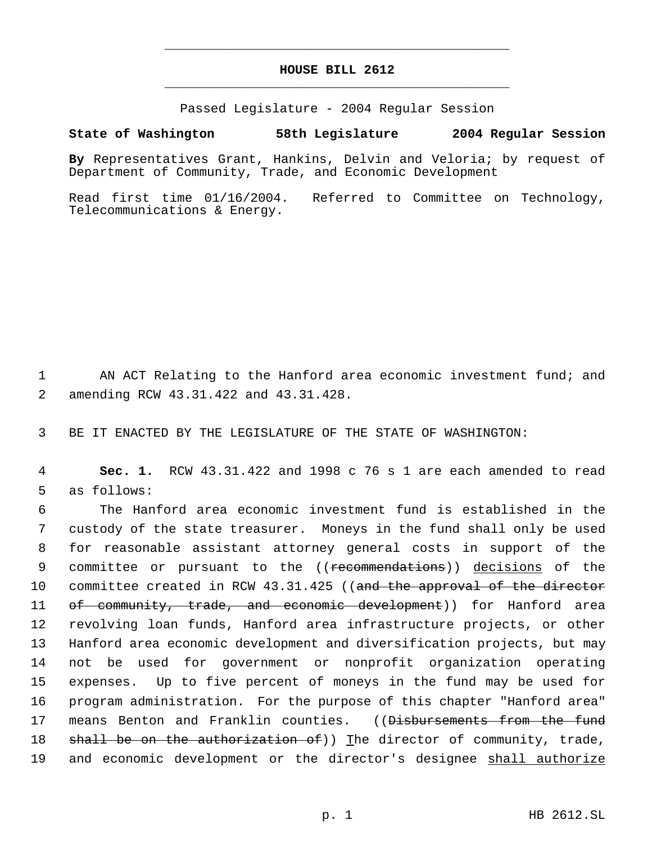## **HOUSE BILL 2612** \_\_\_\_\_\_\_\_\_\_\_\_\_\_\_\_\_\_\_\_\_\_\_\_\_\_\_\_\_\_\_\_\_\_\_\_\_\_\_\_\_\_\_\_\_

\_\_\_\_\_\_\_\_\_\_\_\_\_\_\_\_\_\_\_\_\_\_\_\_\_\_\_\_\_\_\_\_\_\_\_\_\_\_\_\_\_\_\_\_\_

Passed Legislature - 2004 Regular Session

## **State of Washington 58th Legislature 2004 Regular Session**

**By** Representatives Grant, Hankins, Delvin and Veloria; by request of Department of Community, Trade, and Economic Development

Read first time 01/16/2004. Referred to Committee on Technology, Telecommunications & Energy.

1 AN ACT Relating to the Hanford area economic investment fund; and 2 amending RCW 43.31.422 and 43.31.428.

3 BE IT ENACTED BY THE LEGISLATURE OF THE STATE OF WASHINGTON:

 4 **Sec. 1.** RCW 43.31.422 and 1998 c 76 s 1 are each amended to read 5 as follows:

 The Hanford area economic investment fund is established in the custody of the state treasurer. Moneys in the fund shall only be used for reasonable assistant attorney general costs in support of the 9 committee or pursuant to the ((<del>recommendations</del>)) <u>decisions</u> of the 10 committee created in RCW 43.31.425 ((and the approval of the director 11 of community, trade, and economic development)) for Hanford area revolving loan funds, Hanford area infrastructure projects, or other Hanford area economic development and diversification projects, but may not be used for government or nonprofit organization operating expenses. Up to five percent of moneys in the fund may be used for program administration. For the purpose of this chapter "Hanford area" 17 means Benton and Franklin counties. ((Disbursements from the fund  $\theta$  shall be on the authorization of)) The director of community, trade, 19 and economic development or the director's designee shall authorize